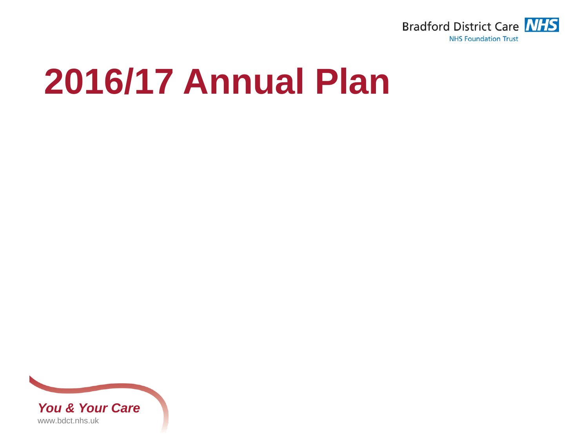

## **2016/17 Annual Plan**

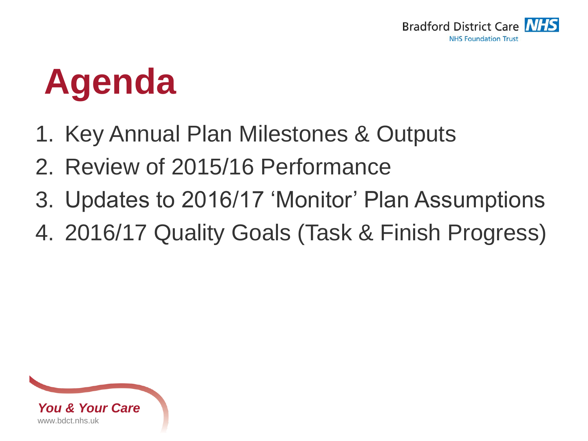

# **Agenda**

- 1. Key Annual Plan Milestones & Outputs
- 2. Review of 2015/16 Performance
- 3. Updates to 2016/17 'Monitor' Plan Assumptions
- 4. 2016/17 Quality Goals (Task & Finish Progress)

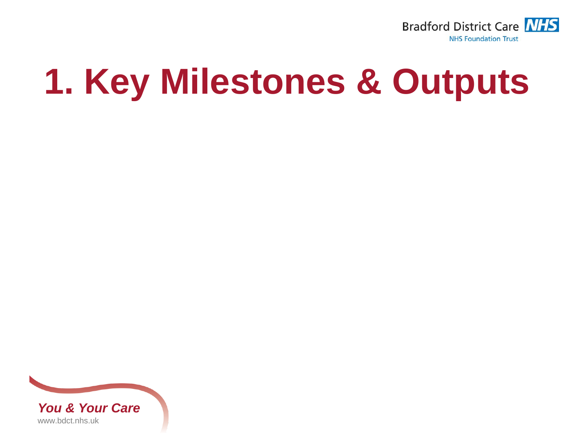

# **1. Key Milestones & Outputs**

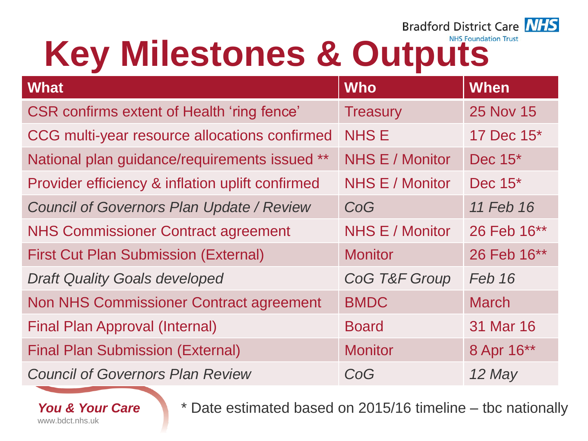

# Key Milestones & Outputs

| <b>What</b>                                       | <b>Who</b>      | <b>When</b>            |
|---------------------------------------------------|-----------------|------------------------|
| <b>CSR confirms extent of Health 'ring fence'</b> | <b>Treasury</b> | <b>25 Nov 15</b>       |
| CCG multi-year resource allocations confirmed     | <b>NHSE</b>     | 17 Dec 15 <sup>*</sup> |
| National plan guidance/requirements issued **     | NHS E / Monitor | Dec 15*                |
| Provider efficiency & inflation uplift confirmed  | NHS E / Monitor | Dec $15^*$             |
| <b>Council of Governors Plan Update / Review</b>  | CoG             | 11 Feb 16              |
| <b>NHS Commissioner Contract agreement</b>        | NHS E / Monitor | 26 Feb 16**            |
| <b>First Cut Plan Submission (External)</b>       | <b>Monitor</b>  | 26 Feb 16**            |
| <b>Draft Quality Goals developed</b>              | CoG T&F Group   | Feb 16                 |
| <b>Non NHS Commissioner Contract agreement</b>    | <b>BMDC</b>     | <b>March</b>           |
| <b>Final Plan Approval (Internal)</b>             | <b>Board</b>    | 31 Mar 16              |
| <b>Final Plan Submission (External)</b>           | <b>Monitor</b>  | 8 Apr 16**             |
| <b>Council of Governors Plan Review</b>           | CoG             | 12 May                 |

*You & Your Care* www.bdct.nhs.uk

\* Date estimated based on 2015/16 timeline – tbc nationally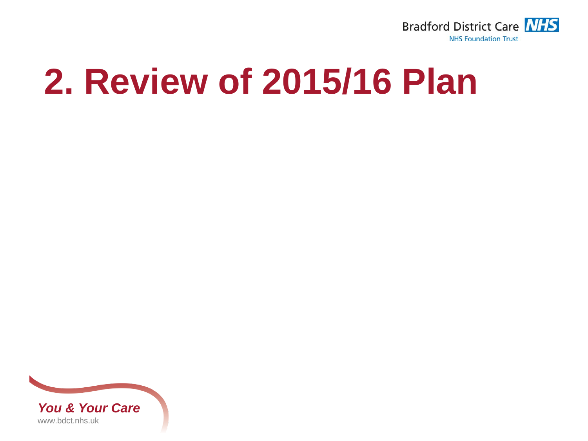

## **2. Review of 2015/16 Plan**

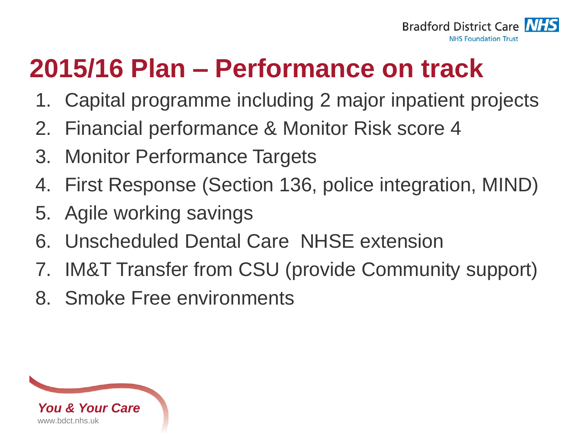

## **2015/16 Plan – Performance on track**

- 1. Capital programme including 2 major inpatient projects
- 2. Financial performance & Monitor Risk score 4
- 3. Monitor Performance Targets
- 4. First Response (Section 136, police integration, MIND)
- 5. Agile working savings
- 6. Unscheduled Dental Care NHSE extension
- 7. IM&T Transfer from CSU (provide Community support)
- 8. Smoke Free environments

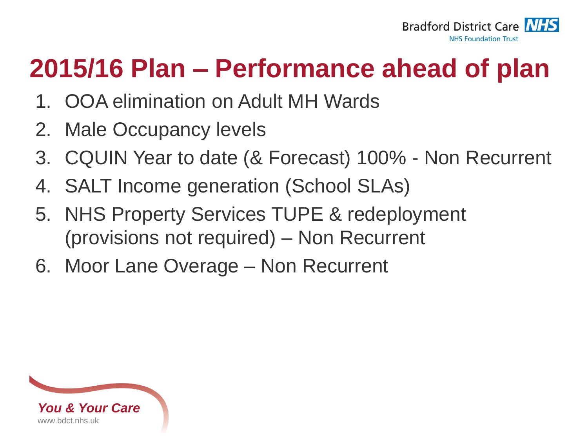

### **2015/16 Plan – Performance ahead of plan**

- 1. OOA elimination on Adult MH Wards
- 2. Male Occupancy levels
- 3. CQUIN Year to date (& Forecast) 100% Non Recurrent
- 4. SALT Income generation (School SLAs)
- 5. NHS Property Services TUPE & redeployment (provisions not required) – Non Recurrent
- 6. Moor Lane Overage Non Recurrent

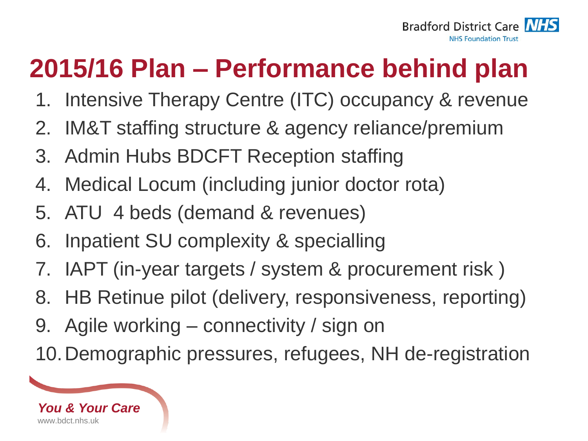

## **2015/16 Plan – Performance behind plan**

- 1. Intensive Therapy Centre (ITC) occupancy & revenue
- 2. IM&T staffing structure & agency reliance/premium
- 3. Admin Hubs BDCFT Reception staffing
- 4. Medical Locum (including junior doctor rota)
- 5. ATU 4 beds (demand & revenues)
- 6. Inpatient SU complexity & specialling
- 7. IAPT (in-year targets / system & procurement risk )
- 8. HB Retinue pilot (delivery, responsiveness, reporting)
- 9. Agile working connectivity / sign on
- 10.Demographic pressures, refugees, NH de-registration

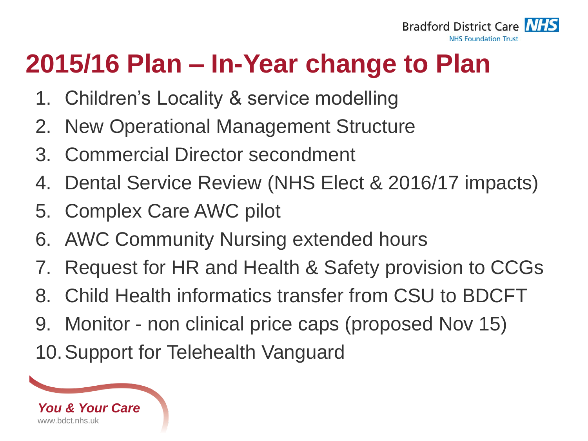

## **2015/16 Plan – In-Year change to Plan**

- 1. Children's Locality & service modelling
- 2. New Operational Management Structure
- 3. Commercial Director secondment
- 4. Dental Service Review (NHS Elect & 2016/17 impacts)
- 5. Complex Care AWC pilot
- 6. AWC Community Nursing extended hours
- 7. Request for HR and Health & Safety provision to CCGs
- 8. Child Health informatics transfer from CSU to BDCFT
- 9. Monitor non clinical price caps (proposed Nov 15) 10.Support for Telehealth Vanguard

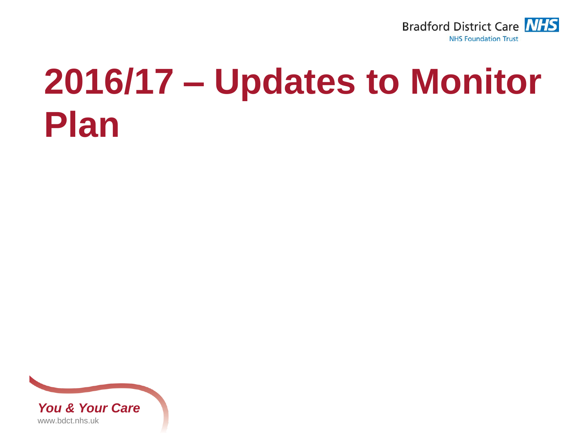

# **2016/17 – Updates to Monitor Plan**

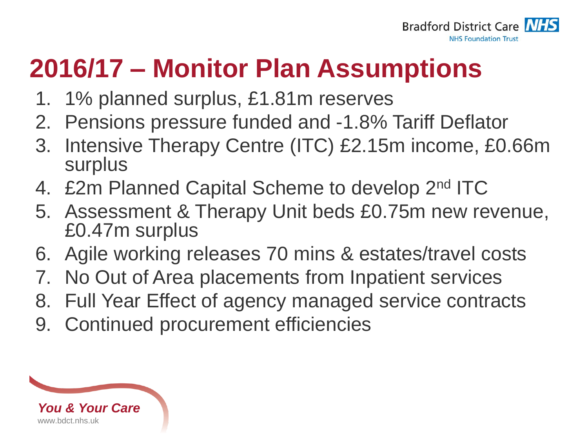

## **2016/17 – Monitor Plan Assumptions**

- 1. 1% planned surplus, £1.81m reserves
- 2. Pensions pressure funded and -1.8% Tariff Deflator
- 3. Intensive Therapy Centre (ITC) £2.15m income, £0.66m surplus
- 4. £2m Planned Capital Scheme to develop 2<sup>nd</sup> ITC
- 5. Assessment & Therapy Unit beds £0.75m new revenue, £0.47m surplus
- 6. Agile working releases 70 mins & estates/travel costs
- 7. No Out of Area placements from Inpatient services
- 8. Full Year Effect of agency managed service contracts
- 9. Continued procurement efficiencies

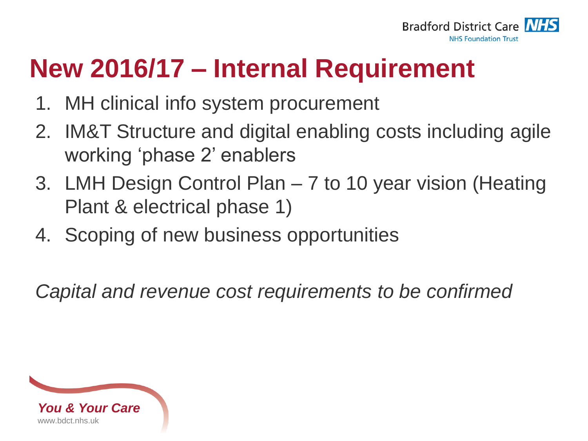

### **New 2016/17 – Internal Requirement**

- 1. MH clinical info system procurement
- 2. IM&T Structure and digital enabling costs including agile working 'phase 2' enablers
- 3. LMH Design Control Plan 7 to 10 year vision (Heating Plant & electrical phase 1)
- 4. Scoping of new business opportunities

*Capital and revenue cost requirements to be confirmed*

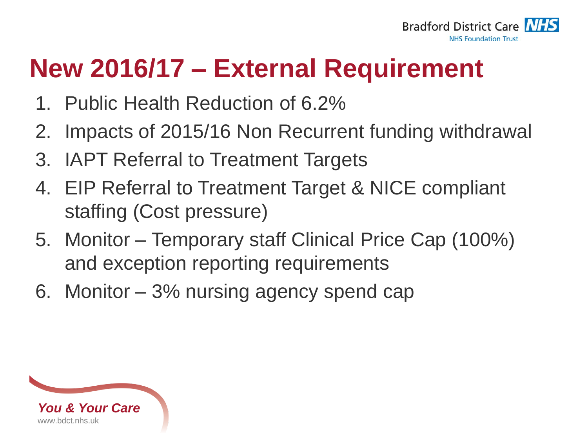

## **New 2016/17 – External Requirement**

- 1. Public Health Reduction of 6.2%
- 2. Impacts of 2015/16 Non Recurrent funding withdrawal
- 3. IAPT Referral to Treatment Targets
- 4. EIP Referral to Treatment Target & NICE compliant staffing (Cost pressure)
- 5. Monitor Temporary staff Clinical Price Cap (100%) and exception reporting requirements
- 6. Monitor 3% nursing agency spend cap

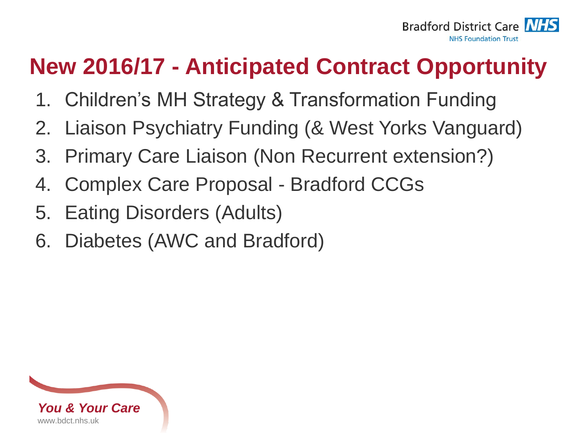

### **New 2016/17 - Anticipated Contract Opportunity**

- 1. Children's MH Strategy & Transformation Funding
- 2. Liaison Psychiatry Funding (& West Yorks Vanguard)
- 3. Primary Care Liaison (Non Recurrent extension?)
- 4. Complex Care Proposal Bradford CCGs
- 5. Eating Disorders (Adults)
- 6. Diabetes (AWC and Bradford)

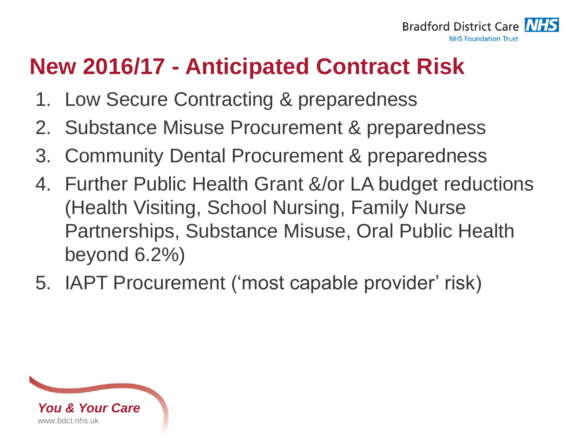

#### **New 2016/17 - Anticipated Contract Risk**

- 1. Low Secure Contracting & preparedness
- 2. Substance Misuse Procurement & preparedness
- 3. Community Dental Procurement & preparedness
- 4. Further Public Health Grant &/or LA budget reductions (Health Visiting, School Nursing, Family Nurse Partnerships, Substance Misuse, Oral Public Health beyond 6.2%)
- 5. IAPT Procurement ('most capable provider' risk)

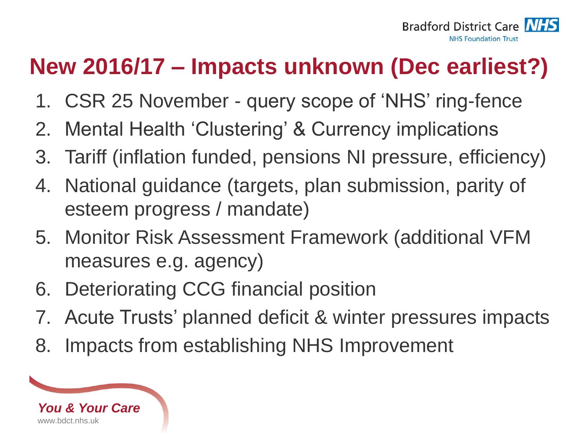

### **New 2016/17 – Impacts unknown (Dec earliest?)**

- 1. CSR 25 November query scope of 'NHS' ring-fence
- 2. Mental Health 'Clustering' & Currency implications
- 3. Tariff (inflation funded, pensions NI pressure, efficiency)
- 4. National guidance (targets, plan submission, parity of esteem progress / mandate)
- 5. Monitor Risk Assessment Framework (additional VFM measures e.g. agency)
- 6. Deteriorating CCG financial position
- 7. Acute Trusts' planned deficit & winter pressures impacts
- 8. Impacts from establishing NHS Improvement

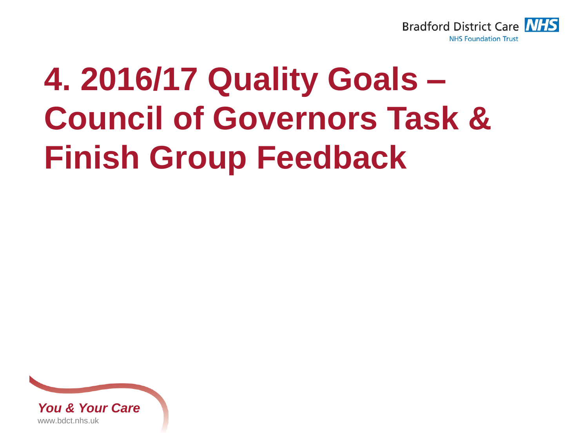

## **4. 2016/17 Quality Goals – Council of Governors Task & Finish Group Feedback**

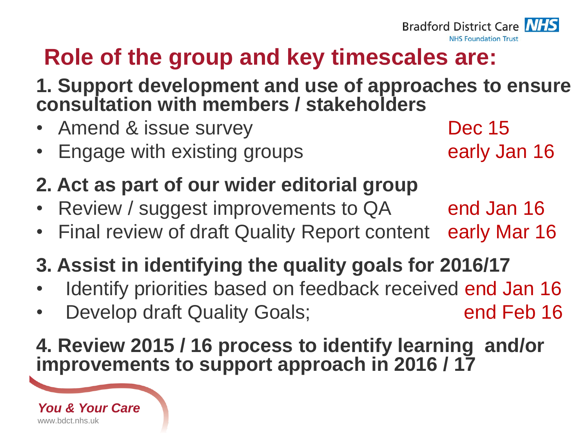### **Role of the group and key timescales are:**

**1. Support development and use of approaches to ensure consultation with members / stakeholders**

- Amend & issue survey Dec 15
- **Engage with existing groups Engage with existing groups early Jan 16**

#### **2. Act as part of our wider editorial group**

- Review / suggest improvements to QA end Jan 16
- Final review of draft Quality Report content early Mar 16

#### **3. Assist in identifying the quality goals for 2016/17**

- Identify priorities based on feedback received end Jan 16
- **Develop draft Quality Goals; end Feb 16**

#### **4. Review 2015 / 16 process to identify learning and/or improvements to support approach in 2016 / 17**